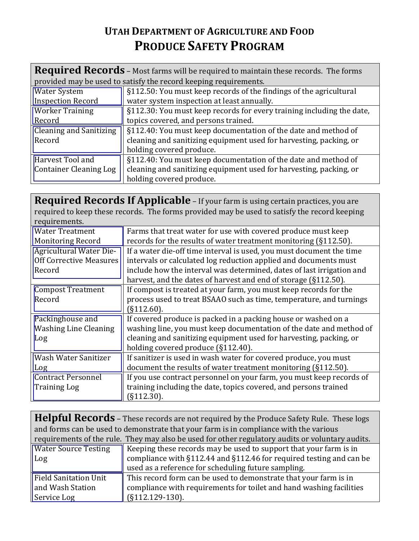## **UTAH DEPARTMENT OF AGRICULTURE AND FOOD PRODUCE SAFETY PROGRAM**

| <b>Required Records</b> - Most farms will be required to maintain these records. The forms |                                                                       |  |
|--------------------------------------------------------------------------------------------|-----------------------------------------------------------------------|--|
| provided may be used to satisfy the record keeping requirements.                           |                                                                       |  |
| <b>Water System</b>                                                                        | §112.50: You must keep records of the findings of the agricultural    |  |
| <b>Inspection Record</b>                                                                   | water system inspection at least annually.                            |  |
| <b>Worker Training</b>                                                                     | §112.30: You must keep records for every training including the date, |  |
| Record                                                                                     | topics covered, and persons trained.                                  |  |
| <b>Cleaning and Sanitizing</b>                                                             | §112.40: You must keep documentation of the date and method of        |  |
| Record                                                                                     | cleaning and sanitizing equipment used for harvesting, packing, or    |  |
|                                                                                            | holding covered produce.                                              |  |
| Harvest Tool and                                                                           | §112.40: You must keep documentation of the date and method of        |  |
| <b>Container Cleaning Log</b>                                                              | cleaning and sanitizing equipment used for harvesting, packing, or    |  |
|                                                                                            | holding covered produce.                                              |  |

**Required Records If Applicable** – If your farm is using certain practices, you are required to keep these records. The forms provided may be used to satisfy the record keeping  $\int$ requirements.

| r cyun chrentor                |                                                                       |
|--------------------------------|-----------------------------------------------------------------------|
| <b>Water Treatment</b>         | Farms that treat water for use with covered produce must keep         |
| <b>Monitoring Record</b>       | records for the results of water treatment monitoring (§112.50).      |
| Agricultural Water Die-        | If a water die-off time interval is used, you must document the time  |
| <b>Off Corrective Measures</b> | intervals or calculated log reduction applied and documents must      |
| Record                         | include how the interval was determined, dates of last irrigation and |
|                                | harvest, and the dates of harvest and end of storage (§112.50).       |
| <b>Compost Treatment</b>       | If compost is treated at your farm, you must keep records for the     |
| Record                         | process used to treat BSAAO such as time, temperature, and turnings   |
|                                | $(S112.60)$ .                                                         |
| Packinghouse and               | If covered produce is packed in a packing house or washed on a        |
| <b>Washing Line Cleaning</b>   | washing line, you must keep documentation of the date and method of   |
| Log                            | cleaning and sanitizing equipment used for harvesting, packing, or    |
|                                | holding covered produce (§112.40).                                    |
| Wash Water Sanitizer           | If sanitizer is used in wash water for covered produce, you must      |
| Log                            | document the results of water treatment monitoring (§112.50).         |
| <b>Contract Personnel</b>      | If you use contract personnel on your farm, you must keep records of  |
| <b>Training Log</b>            | training including the date, topics covered, and persons trained      |
|                                | (S112.30).                                                            |
|                                |                                                                       |

|                                                                                                  | <b>Helpful Records</b> - These records are not required by the Produce Safety Rule. These logs |  |
|--------------------------------------------------------------------------------------------------|------------------------------------------------------------------------------------------------|--|
| and forms can be used to demonstrate that your farm is in compliance with the various            |                                                                                                |  |
| requirements of the rule. They may also be used for other regulatory audits or voluntary audits. |                                                                                                |  |
| <b>Water Source Testing</b>                                                                      | Keeping these records may be used to support that your farm is in                              |  |
| Log                                                                                              | compliance with §112.44 and §112.46 for required testing and can be                            |  |
|                                                                                                  | used as a reference for scheduling future sampling.                                            |  |
| <b>Field Sanitation Unit</b>                                                                     | This record form can be used to demonstrate that your farm is in                               |  |
| and Wash Station                                                                                 | compliance with requirements for toilet and hand washing facilities                            |  |
| Service Log                                                                                      | $(S112.129-130).$                                                                              |  |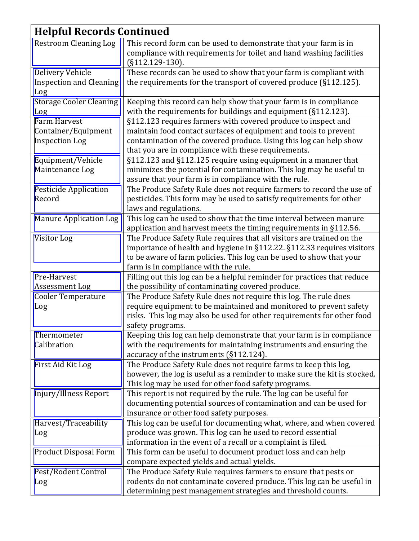| <b>Helpful Records Continued</b>                                    |                                                                                                                                                                                                                                                                 |  |
|---------------------------------------------------------------------|-----------------------------------------------------------------------------------------------------------------------------------------------------------------------------------------------------------------------------------------------------------------|--|
| <b>Restroom Cleaning Log</b>                                        | This record form can be used to demonstrate that your farm is in<br>compliance with requirements for toilet and hand washing facilities<br>$(S112.129-130).$                                                                                                    |  |
| Delivery Vehicle<br><b>Inspection and Cleaning</b><br>Log           | These records can be used to show that your farm is compliant with<br>the requirements for the transport of covered produce (§112.125).                                                                                                                         |  |
| <b>Storage Cooler Cleaning</b><br>Log                               | Keeping this record can help show that your farm is in compliance<br>with the requirements for buildings and equipment (§112.123).                                                                                                                              |  |
| <b>Farm Harvest</b><br>Container/Equipment<br><b>Inspection Log</b> | §112.123 requires farmers with covered produce to inspect and<br>maintain food contact surfaces of equipment and tools to prevent<br>contamination of the covered produce. Using this log can help show<br>that you are in compliance with these requirements.  |  |
| Equipment/Vehicle<br>Maintenance Log                                | §112.123 and §112.125 require using equipment in a manner that<br>minimizes the potential for contamination. This log may be useful to<br>assure that your farm is in compliance with the rule.                                                                 |  |
| <b>Pesticide Application</b><br>Record                              | The Produce Safety Rule does not require farmers to record the use of<br>pesticides. This form may be used to satisfy requirements for other<br>laws and regulations.                                                                                           |  |
| <b>Manure Application Log</b>                                       | This log can be used to show that the time interval between manure<br>application and harvest meets the timing requirements in §112.56.                                                                                                                         |  |
| Visitor Log                                                         | The Produce Safety Rule requires that all visitors are trained on the<br>importance of health and hygiene in §112.22. §112.33 requires visitors<br>to be aware of farm policies. This log can be used to show that your<br>farm is in compliance with the rule. |  |
| Pre-Harvest<br>Assessment Log                                       | Filling out this log can be a helpful reminder for practices that reduce<br>the possibility of contaminating covered produce.                                                                                                                                   |  |
| <b>Cooler Temperature</b><br>Log                                    | The Produce Safety Rule does not require this log. The rule does<br>require equipment to be maintained and monitored to prevent safety<br>risks. This log may also be used for other requirements for other food<br>safety programs.                            |  |
| Thermometer<br>Calibration                                          | Keeping this log can help demonstrate that your farm is in compliance<br>with the requirements for maintaining instruments and ensuring the<br>accuracy of the instruments (§112.124).                                                                          |  |
| First Aid Kit Log                                                   | The Produce Safety Rule does not require farms to keep this log,<br>however, the log is useful as a reminder to make sure the kit is stocked.<br>This log may be used for other food safety programs.                                                           |  |
| Injury/Illness Report                                               | This report is not required by the rule. The log can be useful for<br>documenting potential sources of contamination and can be used for<br>insurance or other food safety purposes.                                                                            |  |
| Harvest/Traceability<br>Log                                         | This log can be useful for documenting what, where, and when covered<br>produce was grown. This log can be used to record essential<br>information in the event of a recall or a complaint is filed.                                                            |  |
| Product Disposal Form                                               | This form can be useful to document product loss and can help<br>compare expected yields and actual yields.                                                                                                                                                     |  |
| Pest/Rodent Control<br>Log                                          | The Produce Safety Rule requires farmers to ensure that pests or<br>rodents do not contaminate covered produce. This log can be useful in<br>determining pest management strategies and threshold counts.                                                       |  |